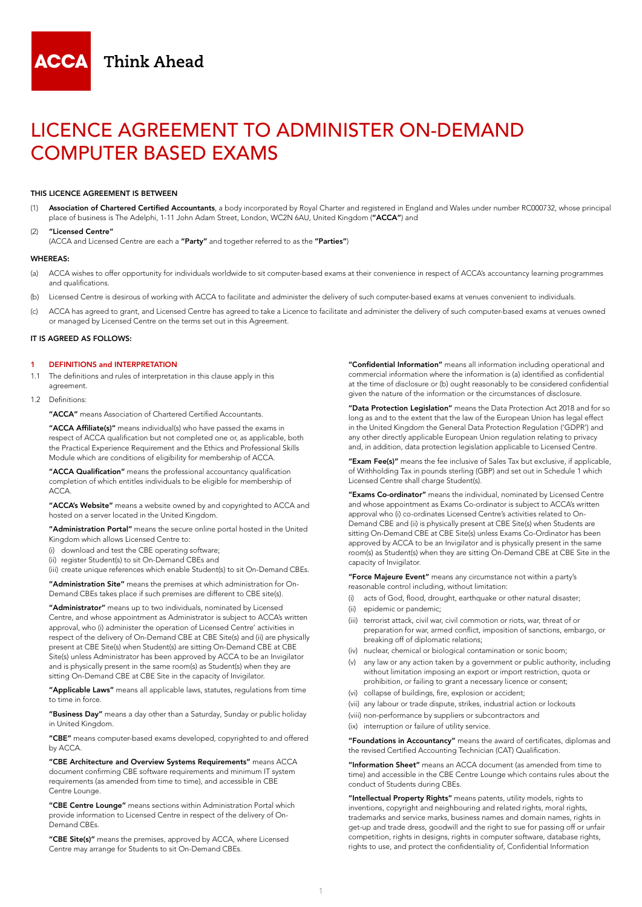

# LICENCE AGREEMENT TO ADMINISTER ON-DEMAND COMPUTER BASED EXAMS

#### THIS LICENCE AGREEMENT IS BETWEEN

- (1) Association of Chartered Certified Accountants, a body incorporated by Royal Charter and registered in England and Wales under number RC000732, whose principal place of business is The Adelphi, 1-11 John Adam Street, London, WC2N 6AU, United Kingdom ("ACCA") and
- (2) "Licensed Centre"
- (ACCA and Licensed Centre are each a "Party" and together referred to as the "Parties")

#### WHEREAS:

- (a) ACCA wishes to offer opportunity for individuals worldwide to sit computer-based exams at their convenience in respect of ACCA's accountancy learning programmes and qualifications.
- (b) Licensed Centre is desirous of working with ACCA to facilitate and administer the delivery of such computer-based exams at venues convenient to individuals.
- (c) ACCA has agreed to grant, and Licensed Centre has agreed to take a Licence to facilitate and administer the delivery of such computer-based exams at venues owned or managed by Licensed Centre on the terms set out in this Agreement.

#### IT IS AGREED AS FOLLOWS:

#### 1 DEFINITIONS and INTERPRETATION

- 1.1 The definitions and rules of interpretation in this clause apply in this agreement.
- 1.2 Definitions:

"ACCA" means Association of Chartered Certified Accountants.

"ACCA Affiliate(s)" means individual(s) who have passed the exams in respect of ACCA qualification but not completed one or, as applicable, both the Practical Experience Requirement and the Ethics and Professional Skills Module which are conditions of eligibility for membership of ACCA.

"ACCA Qualification" means the professional accountancy qualification completion of which entitles individuals to be eligible for membership of ACCA.

"ACCA's Website" means a website owned by and copyrighted to ACCA and hosted on a server located in the United Kingdom.

"Administration Portal" means the secure online portal hosted in the United Kingdom which allows Licensed Centre to:

- (i) download and test the CBE operating software;
- (ii) register Student(s) to sit On-Demand CBEs and

(iii) create unique references which enable Student(s) to sit On-Demand CBEs.

"Administration Site" means the premises at which administration for On-Demand CBEs takes place if such premises are different to CBE site(s).

"Administrator" means up to two individuals, nominated by Licensed Centre, and whose appointment as Administrator is subject to ACCA's written approval, who (i) administer the operation of Licensed Centre' activities in respect of the delivery of On-Demand CBE at CBE Site(s) and (ii) are physically present at CBE Site(s) when Student(s) are sitting On-Demand CBE at CBE Site(s) unless Administrator has been approved by ACCA to be an Invigilator and is physically present in the same room(s) as Student(s) when they are sitting On-Demand CBE at CBE Site in the capacity of Invigilator.

"Applicable Laws" means all applicable laws, statutes, regulations from time to time in force.

"Business Day" means a day other than a Saturday, Sunday or public holiday in United Kingdom.

"CBE" means computer-based exams developed, copyrighted to and offered by ACCA.

"CBE Architecture and Overview Systems Requirements" means ACCA document confirming CBE software requirements and minimum IT system requirements (as amended from time to time), and accessible in CBE Centre Lounge.

"CBE Centre Lounge" means sections within Administration Portal which provide information to Licensed Centre in respect of the delivery of On-Demand CBEs.

"CBE Site(s)" means the premises, approved by ACCA, where Licensed Centre may arrange for Students to sit On-Demand CBEs.

"Confidential Information" means all information including operational and commercial information where the information is (a) identified as confidential at the time of disclosure or (b) ought reasonably to be considered confidential given the nature of the information or the circumstances of disclosure.

"Data Protection Legislation" means the Data Protection Act 2018 and for so long as and to the extent that the law of the European Union has legal effect in the United Kingdom the General Data Protection Regulation ('GDPR') and any other directly applicable European Union regulation relating to privacy and, in addition, data protection legislation applicable to Licensed Centre.

"Exam Fee(s)" means the fee inclusive of Sales Tax but exclusive, if applicable, of Withholding Tax in pounds sterling (GBP) and set out in Schedule 1 which Licensed Centre shall charge Student(s).

"Exams Co-ordinator" means the individual, nominated by Licensed Centre and whose appointment as Exams Co-ordinator is subject to ACCA's written approval who (i) co-ordinates Licensed Centre's activities related to On-Demand CBE and (ii) is physically present at CBE Site(s) when Students are sitting On-Demand CBE at CBE Site(s) unless Exams Co-Ordinator has been approved by ACCA to be an Invigilator and is physically present in the same room(s) as Student(s) when they are sitting On-Demand CBE at CBE Site in the capacity of Invigilator.

"Force Majeure Event" means any circumstance not within a party's reasonable control including, without limitation:

- (i) acts of God, flood, drought, earthquake or other natural disaster;
- (ii) epidemic or pandemic;
- (iii) terrorist attack, civil war, civil commotion or riots, war, threat of or preparation for war, armed conflict, imposition of sanctions, embargo, or breaking off of diplomatic relations;
- (iv) nuclear, chemical or biological contamination or sonic boom;
- (v) any law or any action taken by a government or public authority, including without limitation imposing an export or import restriction, quota or prohibition, or failing to grant a necessary licence or consent;
- (vi) collapse of buildings, fire, explosion or accident;
- (vii) any labour or trade dispute, strikes, industrial action or lockouts
- (viii) non-performance by suppliers or subcontractors and
- (ix) interruption or failure of utility service.

"Foundations in Accountancy" means the award of certificates, diplomas and the revised Certified Accounting Technician (CAT) Qualification.

"Information Sheet" means an ACCA document (as amended from time to time) and accessible in the CBE Centre Lounge which contains rules about the conduct of Students during CBEs.

"Intellectual Property Rights" means patents, utility models, rights to inventions, copyright and neighbouring and related rights, moral rights, trademarks and service marks, business names and domain names, rights in get-up and trade dress, goodwill and the right to sue for passing off or unfair competition, rights in designs, rights in computer software, database rights, rights to use, and protect the confidentiality of, Confidential Information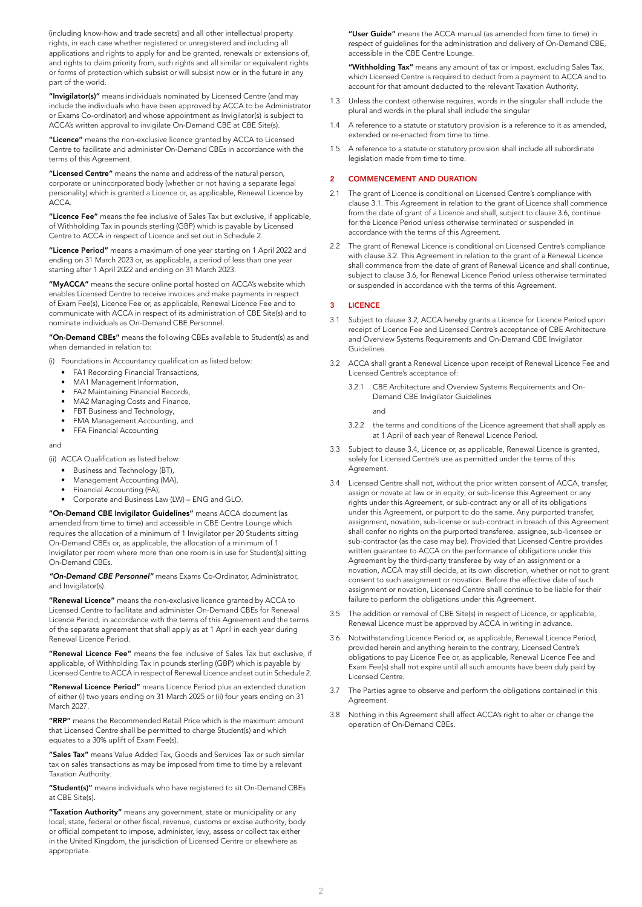(including know-how and trade secrets) and all other intellectual property rights, in each case whether registered or unregistered and including all applications and rights to apply for and be granted, renewals or extensions of, and rights to claim priority from, such rights and all similar or equivalent rights or forms of protection which subsist or will subsist now or in the future in any part of the world.

"Invigilator(s)" means individuals nominated by Licensed Centre (and may include the individuals who have been approved by ACCA to be Administrator or Exams Co-ordinator) and whose appointment as Invigilator(s) is subject to ACCA's written approval to invigilate On-Demand CBE at CBE Site(s).

"Licence" means the non-exclusive licence granted by ACCA to Licensed Centre to facilitate and administer On-Demand CBEs in accordance with the terms of this Agreement.

"Licensed Centre" means the name and address of the natural person, corporate or unincorporated body (whether or not having a separate legal personality) which is granted a Licence or, as applicable, Renewal Licence by ACCA.

"Licence Fee" means the fee inclusive of Sales Tax but exclusive, if applicable, of Withholding Tax in pounds sterling (GBP) which is payable by Licensed Centre to ACCA in respect of Licence and set out in Schedule 2.

"Licence Period" means a maximum of one year starting on 1 April 2022 and ending on 31 March 2023 or, as applicable, a period of less than one year starting after 1 April 2022 and ending on 31 March 2023.

"MyACCA" means the secure online portal hosted on ACCA's website which enables Licensed Centre to receive invoices and make payments in respect of Exam Fee(s), Licence Fee or, as applicable, Renewal Licence Fee and to communicate with ACCA in respect of its administration of CBE Site(s) and to nominate individuals as On-Demand CBE Personnel.

"On-Demand CBEs" means the following CBEs available to Student(s) as and when demanded in relation to:

(i) Foundations in Accountancy qualification as listed below:

- FA1 Recording Financial Transactions,
- MA1 Management Information
- FA2 Maintaining Financial Records,
- MA2 Managing Costs and Finance,
- FBT Business and Technology,
- FMA Management Accounting, and
- **FFA Financial Accounting**

and

(ii) ACCA Qualification as listed below:

- Business and Technology (BT),
- Management Accounting (MA),
- Financial Accounting (FA),
- Corporate and Business Law (LW) ENG and GLO.

"On-Demand CBE Invigilator Guidelines" means ACCA document (as amended from time to time) and accessible in CBE Centre Lounge which requires the allocation of a minimum of 1 Invigilator per 20 Students sitting On-Demand CBEs or, as applicable, the allocation of a minimum of 1 Invigilator per room where more than one room is in use for Student(s) sitting On-Demand CBEs.

*"On-Demand CBE Personnel"* means Exams Co-Ordinator, Administrator, and Invigilator(s).

"Renewal Licence" means the non-exclusive licence granted by ACCA to Licensed Centre to facilitate and administer On-Demand CBEs for Renewal Licence Period, in accordance with the terms of this Agreement and the terms of the separate agreement that shall apply as at 1 April in each year during Renewal Licence Period.

"Renewal Licence Fee" means the fee inclusive of Sales Tax but exclusive, if applicable, of Withholding Tax in pounds sterling (GBP) which is payable by Licensed Centre to ACCA in respect of Renewal Licence and set out in Schedule 2.

"Renewal Licence Period" means Licence Period plus an extended duration of either (i) two years ending on 31 March 2025 or (ii) four years ending on 31 March 2027.

"RRP" means the Recommended Retail Price which is the maximum amount that Licensed Centre shall be permitted to charge Student(s) and which equates to a 30% uplift of Exam Fee(s).

"Sales Tax" means Value Added Tax, Goods and Services Tax or such similar tax on sales transactions as may be imposed from time to time by a relevant Taxation Authority.

"Student(s)" means individuals who have registered to sit On-Demand CBEs at CBE Site(s).

"Taxation Authority" means any government, state or municipality or any local, state, federal or other fiscal, revenue, customs or excise authority, body or official competent to impose, administer, levy, assess or collect tax either in the United Kingdom, the jurisdiction of Licensed Centre or elsewhere as appropriate.

"User Guide" means the ACCA manual (as amended from time to time) in respect of guidelines for the administration and delivery of On-Demand CBE, accessible in the CBE Centre Lounge.

"Withholding Tax" means any amount of tax or impost, excluding Sales Tax, which Licensed Centre is required to deduct from a payment to ACCA and to account for that amount deducted to the relevant Taxation Authority.

- 1.3 Unless the context otherwise requires, words in the singular shall include the plural and words in the plural shall include the singular
- 1.4 A reference to a statute or statutory provision is a reference to it as amended, extended or re-enacted from time to time.
- 1.5 A reference to a statute or statutory provision shall include all subordinate legislation made from time to time.

#### 2 COMMENCEMENT AND DURATION

- 2.1 The grant of Licence is conditional on Licensed Centre's compliance with clause 3.1. This Agreement in relation to the grant of Licence shall commence from the date of grant of a Licence and shall, subject to clause 3.6, continue for the Licence Period unless otherwise terminated or suspended in accordance with the terms of this Agreement.
- 2.2 The grant of Renewal Licence is conditional on Licensed Centre's compliance with clause 3.2. This Agreement in relation to the grant of a Renewal Licence shall commence from the date of grant of Renewal Licence and shall continue, subject to clause 3.6, for Renewal Licence Period unless otherwise terminated or suspended in accordance with the terms of this Agreement.

#### 3 LICENCE

- 3.1 Subject to clause 3.2, ACCA hereby grants a Licence for Licence Period upon receipt of Licence Fee and Licensed Centre's acceptance of CBE Architecture and Overview Systems Requirements and On-Demand CBE Invigilator Guidelines.
- 3.2 ACCA shall grant a Renewal Licence upon receipt of Renewal Licence Fee and Licensed Centre's acceptance of:
- 3.2.1 CBE Architecture and Overview Systems Requirements and On-Demand CBE Invigilator Guidelines and
	- 3.2.2 the terms and conditions of the Licence agreement that shall apply as at 1 April of each year of Renewal Licence Period.
- 3.3 Subject to clause 3.4, Licence or, as applicable, Renewal Licence is granted, solely for Licensed Centre's use as permitted under the terms of this Agreement.
- 3.4 Licensed Centre shall not, without the prior written consent of ACCA, transfer, assign or novate at law or in equity, or sub-license this Agreement or any rights under this Agreement, or sub-contract any or all of its obligations under this Agreement, or purport to do the same. Any purported transfer, assignment, novation, sub-license or sub-contract in breach of this Agreement shall confer no rights on the purported transferee, assignee, sub-licensee or sub-contractor (as the case may be). Provided that Licensed Centre provides written guarantee to ACCA on the performance of obligations under this Agreement by the third-party transferee by way of an assignment or a novation, ACCA may still decide, at its own discretion, whether or not to grant consent to such assignment or novation. Before the effective date of such assignment or novation, Licensed Centre shall continue to be liable for their failure to perform the obligations under this Agreement.
- 3.5 The addition or removal of CBE Site(s) in respect of Licence, or applicable, Renewal Licence must be approved by ACCA in writing in advance.
- 3.6 Notwithstanding Licence Period or, as applicable, Renewal Licence Period, provided herein and anything herein to the contrary, Licensed Centre's obligations to pay Licence Fee or, as applicable, Renewal Licence Fee and Exam Fee(s) shall not expire until all such amounts have been duly paid by Licensed Centre.
- 3.7 The Parties agree to observe and perform the obligations contained in this Agreement.
- 3.8 Nothing in this Agreement shall affect ACCA's right to alter or change the operation of On-Demand CBEs.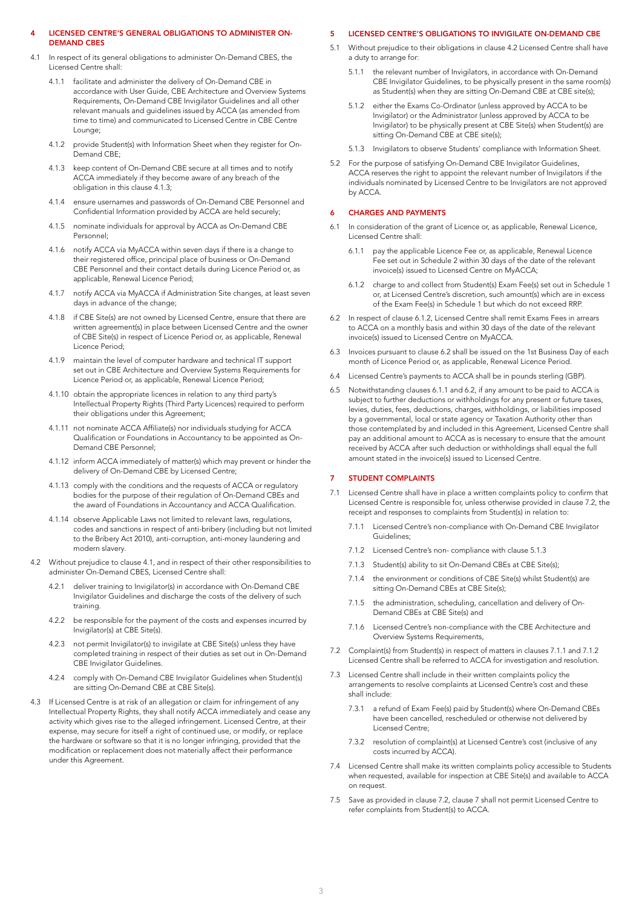#### 4 LICENSED CENTRE'S GENERAL OBLIGATIONS TO ADMINISTER ON-DEMAND CBES

- 4.1 In respect of its general obligations to administer On-Demand CBES, the Licensed Centre shall:
	- 4.1.1 facilitate and administer the delivery of On-Demand CBE in accordance with User Guide, CBE Architecture and Overview Systems Requirements, On-Demand CBE Invigilator Guidelines and all other relevant manuals and guidelines issued by ACCA (as amended from time to time) and communicated to Licensed Centre in CBE Centre Lounge;
	- 4.1.2 provide Student(s) with Information Sheet when they register for On-Demand CBE;
	- 4.1.3 keep content of On-Demand CBE secure at all times and to notify ACCA immediately if they become aware of any breach of the obligation in this clause 4.1.3;
	- 4.1.4 ensure usernames and passwords of On-Demand CBE Personnel and Confidential Information provided by ACCA are held securely;
	- 4.1.5 nominate individuals for approval by ACCA as On-Demand CBE Personnel;
	- 4.1.6 notify ACCA via MyACCA within seven days if there is a change to their registered office, principal place of business or On-Demand CBE Personnel and their contact details during Licence Period or, as applicable, Renewal Licence Period;
	- 4.1.7 notify ACCA via MyACCA if Administration Site changes, at least seven days in advance of the change;
	- 4.1.8 if CBE Site(s) are not owned by Licensed Centre, ensure that there are written agreement(s) in place between Licensed Centre and the owner of CBE Site(s) in respect of Licence Period or, as applicable, Renewal Licence Period;
	- 4.1.9 maintain the level of computer hardware and technical IT support set out in CBE Architecture and Overview Systems Requirements for Licence Period or, as applicable, Renewal Licence Period;
	- 4.1.10 obtain the appropriate licences in relation to any third party's Intellectual Property Rights (Third Party Licences) required to perform their obligations under this Agreement;
	- 4.1.11 not nominate ACCA Affiliate(s) nor individuals studying for ACCA Qualification or Foundations in Accountancy to be appointed as On-Demand CBE Personnel;
	- 4.1.12 inform ACCA immediately of matter(s) which may prevent or hinder the delivery of On-Demand CBE by Licensed Centre;
	- 4.1.13 comply with the conditions and the requests of ACCA or regulatory bodies for the purpose of their regulation of On-Demand CBEs and the award of Foundations in Accountancy and ACCA Qualification.
	- 4.1.14 observe Applicable Laws not limited to relevant laws, regulations, codes and sanctions in respect of anti-bribery (including but not limited to the Bribery Act 2010), anti-corruption, anti-money laundering and modern slavery.
- 4.2 Without prejudice to clause 4.1, and in respect of their other responsibilities to administer On-Demand CBES, Licensed Centre shall:
	- 4.2.1 deliver training to Invigilator(s) in accordance with On-Demand CBE Invigilator Guidelines and discharge the costs of the delivery of such training.
	- 4.2.2 be responsible for the payment of the costs and expenses incurred by Invigilator(s) at CBE Site(s).
	- 4.2.3 not permit Invigilator(s) to invigilate at CBE Site(s) unless they have completed training in respect of their duties as set out in On-Demand CBE Invigilator Guidelines.
	- 4.2.4 comply with On-Demand CBE Invigilator Guidelines when Student(s) are sitting On-Demand CBE at CBE Site(s).
- 4.3 If Licensed Centre is at risk of an allegation or claim for infringement of any Intellectual Property Rights, they shall notify ACCA immediately and cease any activity which gives rise to the alleged infringement. Licensed Centre, at their expense, may secure for itself a right of continued use, or modify, or replace the hardware or software so that it is no longer infringing, provided that the modification or replacement does not materially affect their performance under this Agreement.

### 5 LICENSED CENTRE'S OBLIGATIONS TO INVIGILATE ON-DEMAND CBE

- 5.1 Without prejudice to their obligations in clause 4.2 Licensed Centre shall have a duty to arrange for:
	- 5.1.1 the relevant number of Invigilators, in accordance with On-Demand CBE Invigilator Guidelines, to be physically present in the same room(s) as Student(s) when they are sitting On-Demand CBE at CBE site(s);
	- 5.1.2 either the Exams Co-Ordinator (unless approved by ACCA to be Invigilator) or the Administrator (unless approved by ACCA to be Invigilator) to be physically present at CBE Site(s) when Student(s) are sitting On-Demand CBE at CBE site(s);
	- 5.1.3 Invigilators to observe Students' compliance with Information Sheet.
- 5.2 For the purpose of satisfying On-Demand CBE Invigilator Guidelines, ACCA reserves the right to appoint the relevant number of Invigilators if the individuals nominated by Licensed Centre to be Invigilators are not approved by ACCA.

#### 6 CHARGES AND PAYMENTS

- 6.1 In consideration of the grant of Licence or, as applicable, Renewal Licence, Licensed Centre shall:
	- 6.1.1 pay the applicable Licence Fee or, as applicable, Renewal Licence Fee set out in Schedule 2 within 30 days of the date of the relevant invoice(s) issued to Licensed Centre on MyACCA;
	- 6.1.2 charge to and collect from Student(s) Exam Fee(s) set out in Schedule 1 or, at Licensed Centre's discretion, such amount(s) which are in excess of the Exam Fee(s) in Schedule 1 but which do not exceed RRP.
- 6.2 In respect of clause 6.1.2, Licensed Centre shall remit Exams Fees in arrears to ACCA on a monthly basis and within 30 days of the date of the relevant invoice(s) issued to Licensed Centre on MyACCA.
- 6.3 Invoices pursuant to clause 6.2 shall be issued on the 1st Business Day of each month of Licence Period or, as applicable, Renewal Licence Period.
- 6.4 Licensed Centre's payments to ACCA shall be in pounds sterling (GBP).
- 6.5 Notwithstanding clauses 6.1.1 and 6.2, if any amount to be paid to ACCA is subject to further deductions or withholdings for any present or future taxes, levies, duties, fees, deductions, charges, withholdings, or liabilities imposed by a governmental, local or state agency or Taxation Authority other than those contemplated by and included in this Agreement, Licensed Centre shall pay an additional amount to ACCA as is necessary to ensure that the amount received by ACCA after such deduction or withholdings shall equal the full amount stated in the invoice(s) issued to Licensed Centre.

#### **STUDENT COMPLAINTS**

- 7.1 Licensed Centre shall have in place a written complaints policy to confirm that Licensed Centre is responsible for, unless otherwise provided in clause 7.2, the receipt and responses to complaints from Student(s) in relation to:
	- 7.1.1 Licensed Centre's non-compliance with On-Demand CBE Invigilator Guidelines;
	- 7.1.2 Licensed Centre's non- compliance with clause 5.1.3
	- 7.1.3 Student(s) ability to sit On-Demand CBEs at CBE Site(s);
	- 7.1.4 the environment or conditions of CBE Site(s) whilst Student(s) are sitting On-Demand CBEs at CBE Site(s);
	- 7.1.5 the administration, scheduling, cancellation and delivery of On-Demand CBEs at CBE Site(s) and
	- 7.1.6 Licensed Centre's non-compliance with the CBE Architecture and Overview Systems Requirements,
- 7.2 Complaint(s) from Student(s) in respect of matters in clauses 7.1.1 and 7.1.2 Licensed Centre shall be referred to ACCA for investigation and resolution.
- 7.3 Licensed Centre shall include in their written complaints policy the arrangements to resolve complaints at Licensed Centre's cost and these shall include:
	- 7.3.1 a refund of Exam Fee(s) paid by Student(s) where On-Demand CBEs have been cancelled, rescheduled or otherwise not delivered by Licensed Centre;
	- 7.3.2 resolution of complaint(s) at Licensed Centre's cost (inclusive of any costs incurred by ACCA).
- 7.4 Licensed Centre shall make its written complaints policy accessible to Students when requested, available for inspection at CBE Site(s) and available to ACCA on request.
- 7.5 Save as provided in clause 7.2, clause 7 shall not permit Licensed Centre to refer complaints from Student(s) to ACCA.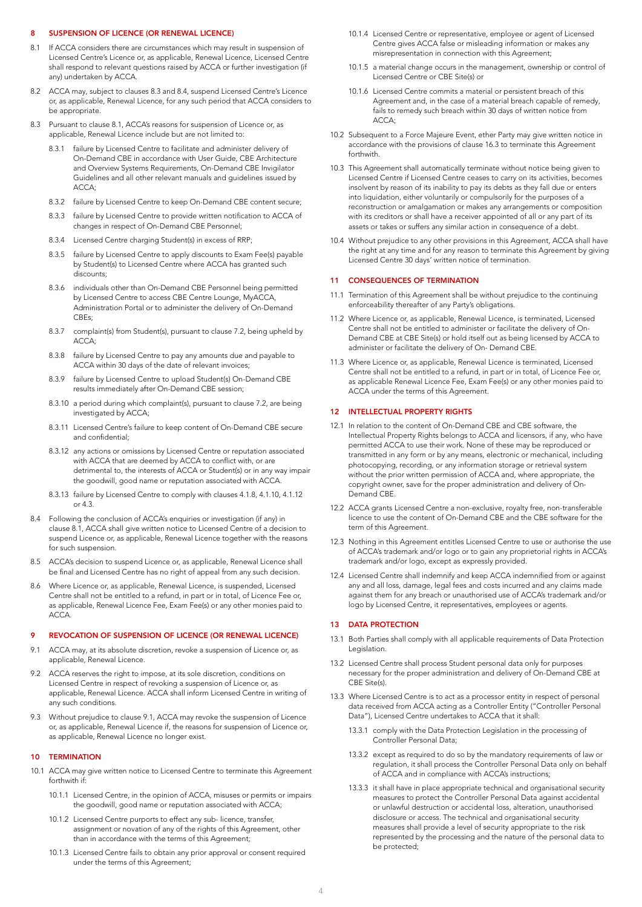#### 8 SUSPENSION OF LICENCE (OR RENEWAL LICENCE)

- 8.1 If ACCA considers there are circumstances which may result in suspension of Licensed Centre's Licence or, as applicable, Renewal Licence, Licensed Centre shall respond to relevant questions raised by ACCA or further investigation (if any) undertaken by ACCA.
- 8.2 ACCA may, subject to clauses 8.3 and 8.4, suspend Licensed Centre's Licence or, as applicable, Renewal Licence, for any such period that ACCA considers to be appropriate.
- 8.3 Pursuant to clause 8.1, ACCA's reasons for suspension of Licence or, as applicable, Renewal Licence include but are not limited to:
	- 8.3.1 failure by Licensed Centre to facilitate and administer delivery of On-Demand CBE in accordance with User Guide, CBE Architecture and Overview Systems Requirements, On-Demand CBE Invigilator Guidelines and all other relevant manuals and guidelines issued by ACCA;
	- 8.3.2 failure by Licensed Centre to keep On-Demand CBE content secure;
	- 8.3.3 failure by Licensed Centre to provide written notification to ACCA of changes in respect of On-Demand CBE Personnel;
	- 8.3.4 Licensed Centre charging Student(s) in excess of RRP;
	- 8.3.5 failure by Licensed Centre to apply discounts to Exam Fee(s) payable by Student(s) to Licensed Centre where ACCA has granted such discounts;
	- 8.3.6 individuals other than On-Demand CBE Personnel being permitted by Licensed Centre to access CBE Centre Lounge, MyACCA, Administration Portal or to administer the delivery of On-Demand CBEs;
	- 8.3.7 complaint(s) from Student(s), pursuant to clause 7.2, being upheld by ACCA;
	- 8.3.8 failure by Licensed Centre to pay any amounts due and payable to ACCA within 30 days of the date of relevant invoices;
	- 8.3.9 failure by Licensed Centre to upload Student(s) On-Demand CBE results immediately after On-Demand CBE session;
	- 8.3.10 a period during which complaint(s), pursuant to clause 7.2, are being investigated by ACCA;
	- 8.3.11 Licensed Centre's failure to keep content of On-Demand CBE secure and confidential;
	- 8.3.12 any actions or omissions by Licensed Centre or reputation associated with ACCA that are deemed by ACCA to conflict with, or are detrimental to, the interests of ACCA or Student(s) or in any way impair the goodwill, good name or reputation associated with ACCA.
	- 8.3.13 failure by Licensed Centre to comply with clauses 4.1.8, 4.1.10, 4.1.12 or 4.3.
- 8.4 Following the conclusion of ACCA's enquiries or investigation (if any) in clause 8.1, ACCA shall give written notice to Licensed Centre of a decision to suspend Licence or, as applicable, Renewal Licence together with the reasons for such suspension.
- 8.5 ACCA's decision to suspend Licence or, as applicable, Renewal Licence shall be final and Licensed Centre has no right of appeal from any such decision.
- 8.6 Where Licence or, as applicable, Renewal Licence, is suspended, Licensed Centre shall not be entitled to a refund, in part or in total, of Licence Fee or, as applicable, Renewal Licence Fee, Exam Fee(s) or any other monies paid to ACCA.

#### 9 REVOCATION OF SUSPENSION OF LICENCE (OR RENEWAL LICENCE)

- 9.1 ACCA may, at its absolute discretion, revoke a suspension of Licence or, as applicable, Renewal Licence.
- 9.2 ACCA reserves the right to impose, at its sole discretion, conditions on Licensed Centre in respect of revoking a suspension of Licence or, as applicable, Renewal Licence. ACCA shall inform Licensed Centre in writing of any such conditions.
- 9.3 Without prejudice to clause 9.1, ACCA may revoke the suspension of Licence or, as applicable, Renewal Licence if, the reasons for suspension of Licence or, as applicable, Renewal Licence no longer exist.

#### 10 TERMINATION

- 10.1 ACCA may give written notice to Licensed Centre to terminate this Agreement forthwith if:
	- 10.1.1 Licensed Centre, in the opinion of ACCA, misuses or permits or impairs the goodwill, good name or reputation associated with ACCA;
	- 10.1.2 Licensed Centre purports to effect any sub- licence, transfer, assignment or novation of any of the rights of this Agreement, other than in accordance with the terms of this Agreement;
	- 10.1.3 Licensed Centre fails to obtain any prior approval or consent required under the terms of this Agreement;
- 10.1.4 Licensed Centre or representative, employee or agent of Licensed Centre gives ACCA false or misleading information or makes any misrepresentation in connection with this Agreement;
- 10.1.5 a material change occurs in the management, ownership or control of Licensed Centre or CBE Site(s) or
- 10.1.6 Licensed Centre commits a material or persistent breach of this Agreement and, in the case of a material breach capable of remedy, fails to remedy such breach within 30 days of written notice from ACCA;
- 10.2 Subsequent to a Force Majeure Event, ether Party may give written notice in accordance with the provisions of clause 16.3 to terminate this Agreement forthwith.
- 10.3 This Agreement shall automatically terminate without notice being given to Licensed Centre if Licensed Centre ceases to carry on its activities, becomes insolvent by reason of its inability to pay its debts as they fall due or enters into liquidation, either voluntarily or compulsorily for the purposes of a reconstruction or amalgamation or makes any arrangements or composition with its creditors or shall have a receiver appointed of all or any part of its assets or takes or suffers any similar action in consequence of a debt.
- 10.4 Without prejudice to any other provisions in this Agreement, ACCA shall have the right at any time and for any reason to terminate this Agreement by giving Licensed Centre 30 days' written notice of termination.

#### **CONSEQUENCES OF TERMINATION**

- 11.1 Termination of this Agreement shall be without prejudice to the continuing enforceability thereafter of any Party's obligations.
- 11.2 Where Licence or, as applicable, Renewal Licence, is terminated, Licensed Centre shall not be entitled to administer or facilitate the delivery of On-Demand CBE at CBE Site(s) or hold itself out as being licensed by ACCA to administer or facilitate the delivery of On- Demand CBE.
- 11.3 Where Licence or, as applicable, Renewal Licence is terminated, Licensed Centre shall not be entitled to a refund, in part or in total, of Licence Fee or, as applicable Renewal Licence Fee, Exam Fee(s) or any other monies paid to ACCA under the terms of this Agreement.

#### 12 INTELLECTUAL PROPERTY RIGHTS

- 12.1 In relation to the content of On-Demand CBE and CBE software, the Intellectual Property Rights belongs to ACCA and licensors, if any, who have permitted ACCA to use their work. None of these may be reproduced or transmitted in any form or by any means, electronic or mechanical, including photocopying, recording, or any information storage or retrieval system without the prior written permission of ACCA and, where appropriate, the copyright owner, save for the proper administration and delivery of On-Demand CBE.
- 12.2 ACCA grants Licensed Centre a non-exclusive, royalty free, non-transferable licence to use the content of On-Demand CBE and the CBE software for the term of this Agreement.
- 12.3 Nothing in this Agreement entitles Licensed Centre to use or authorise the use of ACCA's trademark and/or logo or to gain any proprietorial rights in ACCA's trademark and/or logo, except as expressly provided.
- 12.4 Licensed Centre shall indemnify and keep ACCA indemnified from or against any and all loss, damage, legal fees and costs incurred and any claims made against them for any breach or unauthorised use of ACCA's trademark and/or logo by Licensed Centre, it representatives, employees or agents.

#### 13 DATA PROTECTION

- 13.1 Both Parties shall comply with all applicable requirements of Data Protection Legislation.
- 13.2 Licensed Centre shall process Student personal data only for purposes necessary for the proper administration and delivery of On-Demand CBE at CBE Site(s).
- 13.3 Where Licensed Centre is to act as a processor entity in respect of personal data received from ACCA acting as a Controller Entity ("Controller Personal Data"), Licensed Centre undertakes to ACCA that it shall:
	- 13.3.1 comply with the Data Protection Legislation in the processing of Controller Personal Data;
	- 13.3.2 except as required to do so by the mandatory requirements of law or regulation, it shall process the Controller Personal Data only on behalf of ACCA and in compliance with ACCA's instructions;
	- 13.3.3 it shall have in place appropriate technical and organisational security measures to protect the Controller Personal Data against accidental or unlawful destruction or accidental loss, alteration, unauthorised disclosure or access. The technical and organisational security measures shall provide a level of security appropriate to the risk represented by the processing and the nature of the personal data to be protected;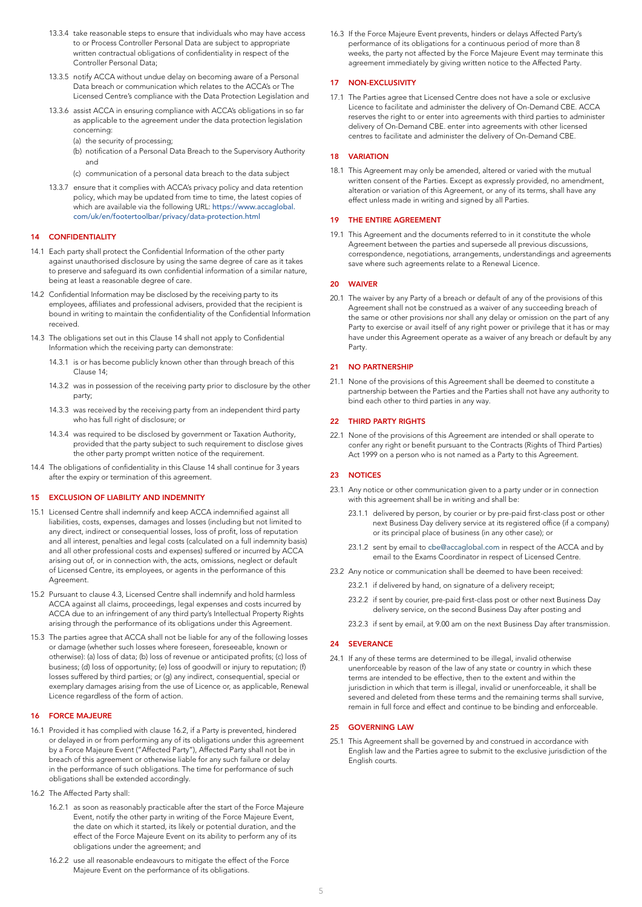- 13.3.4 take reasonable steps to ensure that individuals who may have access to or Process Controller Personal Data are subject to appropriate written contractual obligations of confidentiality in respect of the Controller Personal Data;
- 13.3.5 notify ACCA without undue delay on becoming aware of a Personal Data breach or communication which relates to the ACCA's or The Licensed Centre's compliance with the Data Protection Legislation and
- 13.3.6 assist ACCA in ensuring compliance with ACCA's obligations in so far as applicable to the agreement under the data protection legislation concerning:
	- (a) the security of processing;
	- (b) notification of a Personal Data Breach to the Supervisory Authority and
	- (c) communication of a personal data breach to the data subject
- 13.3.7 ensure that it complies with ACCA's privacy policy and data retention policy, which may be updated from time to time, the latest copies of which are available via the following URL: [https://www.accaglobal.](https://www.accaglobal.com/uk/en/footertoolbar/privacy/data-protection.html) [com/uk/en/footertoolbar/privacy/data-protection.html](https://www.accaglobal.com/uk/en/footertoolbar/privacy/data-protection.html)

#### 14 CONFIDENTIALITY

- 14.1 Each party shall protect the Confidential Information of the other party against unauthorised disclosure by using the same degree of care as it takes to preserve and safeguard its own confidential information of a similar nature, being at least a reasonable degree of care.
- 14.2 Confidential Information may be disclosed by the receiving party to its employees, affiliates and professional advisers, provided that the recipient is bound in writing to maintain the confidentiality of the Confidential Information received.
- 14.3 The obligations set out in this Clause 14 shall not apply to Confidential Information which the receiving party can demonstrate:
	- 14.3.1 is or has become publicly known other than through breach of this Clause 14;
	- 14.3.2 was in possession of the receiving party prior to disclosure by the other party;
	- 14.3.3 was received by the receiving party from an independent third party who has full right of disclosure; or
	- 14.3.4 was required to be disclosed by government or Taxation Authority, provided that the party subject to such requirement to disclose gives the other party prompt written notice of the requirement.
- 14.4 The obligations of confidentiality in this Clause 14 shall continue for 3 years after the expiry or termination of this agreement.

#### 15 EXCLUSION OF LIABILITY AND INDEMNITY

- 15.1 Licensed Centre shall indemnify and keep ACCA indemnified against all liabilities, costs, expenses, damages and losses (including but not limited to any direct, indirect or consequential losses, loss of profit, loss of reputation and all interest, penalties and legal costs (calculated on a full indemnity basis) and all other professional costs and expenses) suffered or incurred by ACCA arising out of, or in connection with, the acts, omissions, neglect or default of Licensed Centre, its employees, or agents in the performance of this Agreement.
- 15.2 Pursuant to clause 4.3, Licensed Centre shall indemnify and hold harmless ACCA against all claims, proceedings, legal expenses and costs incurred by ACCA due to an infringement of any third party's Intellectual Property Rights arising through the performance of its obligations under this Agreement.
- 15.3 The parties agree that ACCA shall not be liable for any of the following losses or damage (whether such losses where foreseen, foreseeable, known or otherwise): (a) loss of data; (b) loss of revenue or anticipated profits; (c) loss of business; (d) loss of opportunity; (e) loss of goodwill or injury to reputation; (f) losses suffered by third parties; or (g) any indirect, consequential, special or exemplary damages arising from the use of Licence or, as applicable, Renewal Licence regardless of the form of action.

#### 16 FORCE MAJEURE

- 16.1 Provided it has complied with clause 16.2, if a Party is prevented, hindered or delayed in or from performing any of its obligations under this agreement by a Force Majeure Event ("Affected Party"), Affected Party shall not be in breach of this agreement or otherwise liable for any such failure or delay in the performance of such obligations. The time for performance of such obligations shall be extended accordingly.
- 16.2 The Affected Party shall:
	- 16.2.1 as soon as reasonably practicable after the start of the Force Majeure Event, notify the other party in writing of the Force Majeure Event, the date on which it started, its likely or potential duration, and the effect of the Force Majeure Event on its ability to perform any of its obligations under the agreement; and
	- 16.2.2 use all reasonable endeavours to mitigate the effect of the Force Majeure Event on the performance of its obligations.

16.3 If the Force Majeure Event prevents, hinders or delays Affected Party's performance of its obligations for a continuous period of more than 8 weeks, the party not affected by the Force Majeure Event may terminate this agreement immediately by giving written notice to the Affected Party.

#### 17 NON-EXCLUSIVITY

17.1 The Parties agree that Licensed Centre does not have a sole or exclusive Licence to facilitate and administer the delivery of On-Demand CBE. ACCA reserves the right to or enter into agreements with third parties to administer delivery of On-Demand CBE. enter into agreements with other licensed centres to facilitate and administer the delivery of On-Demand CBE.

#### 18 VARIATION

18.1 This Agreement may only be amended, altered or varied with the mutual written consent of the Parties. Except as expressly provided, no amendment, alteration or variation of this Agreement, or any of its terms, shall have any effect unless made in writing and signed by all Parties.

#### 19 THE ENTIRE AGREEMENT

19.1 This Agreement and the documents referred to in it constitute the whole Agreement between the parties and supersede all previous discussions, correspondence, negotiations, arrangements, understandings and agreements save where such agreements relate to a Renewal Licence.

#### 20 WAIVER

20.1 The waiver by any Party of a breach or default of any of the provisions of this Agreement shall not be construed as a waiver of any succeeding breach of the same or other provisions nor shall any delay or omission on the part of any Party to exercise or avail itself of any right power or privilege that it has or may have under this Agreement operate as a waiver of any breach or default by any Party.

#### 21 NO PARTNERSHIP

21.1 None of the provisions of this Agreement shall be deemed to constitute a partnership between the Parties and the Parties shall not have any authority to bind each other to third parties in any way.

#### 22 THIRD PARTY RIGHTS

22.1 None of the provisions of this Agreement are intended or shall operate to confer any right or benefit pursuant to the Contracts (Rights of Third Parties) Act 1999 on a person who is not named as a Party to this Agreement.

#### 23 NOTICES

- 23.1 Any notice or other communication given to a party under or in connection with this agreement shall be in writing and shall be:
	- 23.1.1 delivered by person, by courier or by pre-paid first-class post or other next Business Day delivery service at its registered office (if a company) or its principal place of business (in any other case); or
	- 23.1.2 sent by email to [cbe@accaglobal.com](mailto:cbe%40accaglobal.com?subject=) in respect of the ACCA and by email to the Exams Coordinator in respect of Licensed Centre.
- 23.2 Any notice or communication shall be deemed to have been received:
	- 23.2.1 if delivered by hand, on signature of a delivery receipt;
	- 23.2.2 if sent by courier, pre-paid first-class post or other next Business Day delivery service, on the second Business Day after posting and
	- 23.2.3 if sent by email, at 9.00 am on the next Business Day after transmission.

#### 24 SEVERANCE

24.1 If any of these terms are determined to be illegal, invalid otherwise unenforceable by reason of the law of any state or country in which these terms are intended to be effective, then to the extent and within the jurisdiction in which that term is illegal, invalid or unenforceable, it shall be severed and deleted from these terms and the remaining terms shall survive, remain in full force and effect and continue to be binding and enforceable.

#### 25 GOVERNING LAW

25.1 This Agreement shall be governed by and construed in accordance with English law and the Parties agree to submit to the exclusive jurisdiction of the English courts.